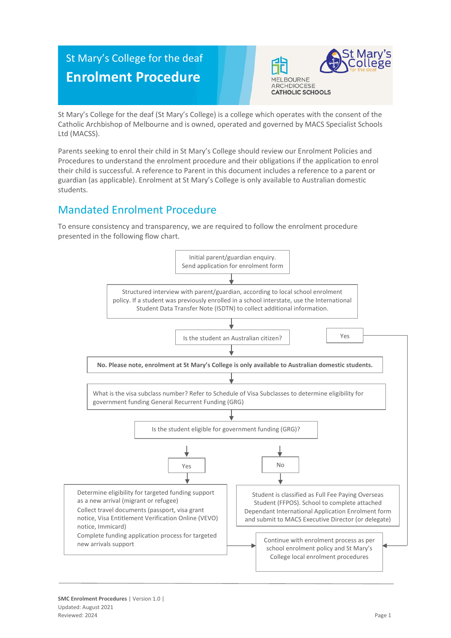# St Mary's College for the deaf **Enrolment Procedure**



St Mary's College for the deaf (St Mary's College) is a college which operates with the consent of the Catholic Archbishop of Melbourne and is owned, operated and governed by MACS Specialist Schools Ltd (MACSS).

Parents seeking to enrol their child in St Mary's College should review our Enrolment Policies and Procedures to understand the enrolment procedure and their obligations if the application to enrol their child is successful. A reference to Parent in this document includes a reference to a parent or guardian (as applicable). Enrolment at St Mary's College is only available to Australian domestic students.

## Mandated Enrolment Procedure

To ensure consistency and transparency, we are required to follow the enrolment procedure presented in the following flow chart.

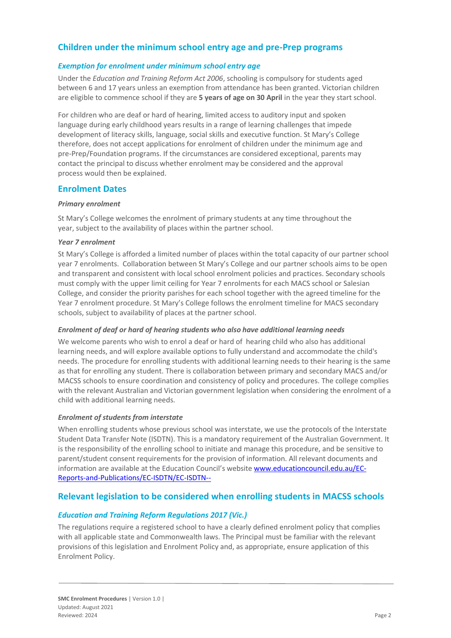### **Children under the minimum school entry age and pre-Prep programs**

#### *Exemption for enrolment under minimum school entry age*

Under the *Education and Training Reform Act 2006*, schooling is compulsory for students aged between 6 and 17 years unless an exemption from attendance has been granted. Victorian children are eligible to commence school if they are **5 years of age on 30 April** in the year they start school.

For children who are deaf or hard of hearing, limited access to auditory input and spoken language during early childhood years results in a range of learning challenges that impede development of literacy skills, language, social skills and executive function. St Mary's College therefore, does not accept applications for enrolment of children under the minimum age and pre-Prep/Foundation programs. If the circumstances are considered exceptional, parents may contact the principal to discuss whether enrolment may be considered and the approval process would then be explained.

#### **Enrolment Dates**

#### *Primary enrolment*

St Mary's College welcomes the enrolment of primary students at any time throughout the year, subject to the availability of places within the partner school.

#### *Year 7 enrolment*

St Mary's College is afforded a limited number of places within the total capacity of our partner school year 7 enrolments. Collaboration between St Mary's College and our partner schools aims to be open and transparent and consistent with local school enrolment policies and practices. Secondary schools must comply with the upper limit ceiling for Year 7 enrolments for each MACS school or Salesian College, and consider the priority parishes for each school together with the agreed timeline for the Year 7 enrolment procedure. St Mary's College follows the enrolment timeline for MACS secondary schools, subject to availability of places at the partner school.

#### *Enrolment of deaf or hard of hearing students who also have additional learning needs*

We welcome parents who wish to enrol a deaf or hard of hearing child who also has additional learning needs, and will explore available options to fully understand and accommodate the child's needs. The procedure for enrolling students with additional learning needs to their hearing is the same as that for enrolling any student. There is collaboration between primary and secondary MACS and/or MACSS schools to ensure coordination and consistency of policy and procedures. The college complies with the relevant Australian and Victorian government legislation when considering the enrolment of a child with additional learning needs.

#### *Enrolment of students from interstate*

When enrolling students whose previous school was interstate, we use the protocols of the Interstate Student Data Transfer Note (ISDTN). This is a mandatory requirement of the Australian Government. It is the responsibility of the enrolling school to initiate and manage this procedure, and be sensitive to parent/student consent requirements for the provision of information. All relevant documents and information are available at the Education Council's website [www.educationcouncil.edu.au/EC-](http://www.educationcouncil.edu.au/EC-Reports-and-Publications/EC-ISDTN/EC-ISDTN---Non-Gov-Schools.aspx)[Reports-and-Publications/EC-ISDTN/EC-ISDTN--](http://www.educationcouncil.edu.au/EC-Reports-and-Publications/EC-ISDTN/EC-ISDTN---Non-Gov-Schools.aspx)

#### **Relevant legislation to be considered when enrolling students in MACSS schools**

#### *Education and Training Reform Regulations 2017 (Vic.)*

The regulations require a registered school to have a clearly defined enrolment policy that complies with all applicable state and Commonwealth laws. The Principal must be familiar with the relevant provisions of this legislation and Enrolment Policy and, as appropriate, ensure application of this Enrolment Policy.